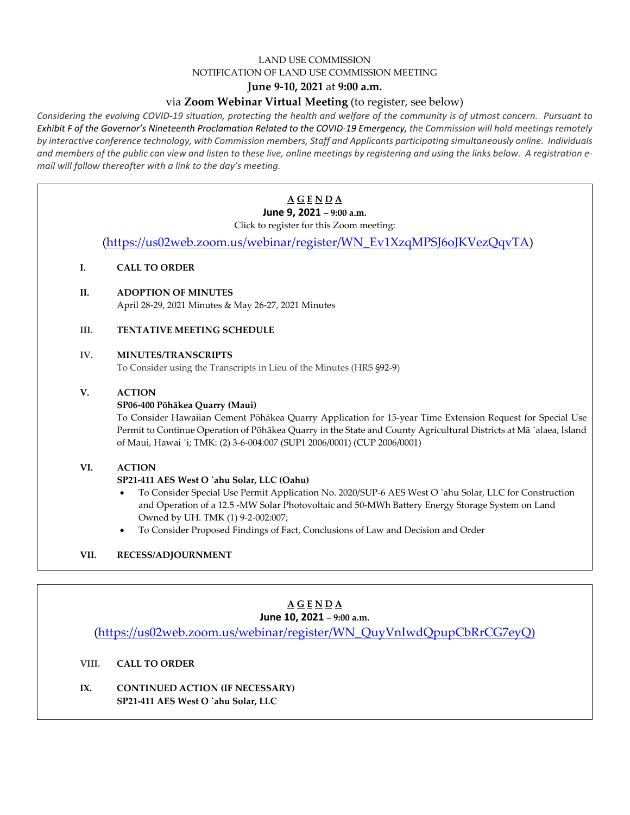### LAND USE COMMISSION NOTIFICATION OF LAND USE COMMISSION MEETING

## **June 9-10, 2021** at **9:00 a.m.**

## via **Zoom Webinar Virtual Meeting** (to register, see below)

Considering the evolving COVID-19 situation, protecting the health and welfare of the community is of utmost concern. Pursuant to *Exhibit F of the Governor's Nineteenth Proclamation Related to the COVID-19 Emergency, the Commission will hold meetings remotely by interactive conference technology, with Commission members, Staff and Applicants participating simultaneously online. Individuals* and members of the public can view and listen to these live, online meetings by registering and using the links below. A registration e*mail will follow thereafter with a link to the day's meeting.*

|      | $\underline{A} \underline{G} \underline{E} \underline{N} \underline{D} \underline{A}$                                                                                                                                           |
|------|---------------------------------------------------------------------------------------------------------------------------------------------------------------------------------------------------------------------------------|
|      | June 9, 2021 - 9:00 a.m.                                                                                                                                                                                                        |
|      | Click to register for this Zoom meeting:                                                                                                                                                                                        |
|      | (https://us02web.zoom.us/webinar/register/WN_Ev1XzqMPSJ6oJKVezQqvTA)                                                                                                                                                            |
| I.   | <b>CALL TO ORDER</b>                                                                                                                                                                                                            |
| II.  | <b>ADOPTION OF MINUTES</b>                                                                                                                                                                                                      |
|      | April 28-29, 2021 Minutes & May 26-27, 2021 Minutes                                                                                                                                                                             |
| III. | <b>TENTATIVE MEETING SCHEDULE</b>                                                                                                                                                                                               |
| IV.  | <b>MINUTES/TRANSCRIPTS</b>                                                                                                                                                                                                      |
|      | To Consider using the Transcripts in Lieu of the Minutes (HRS §92-9)                                                                                                                                                            |
| V.   | <b>ACTION</b>                                                                                                                                                                                                                   |
|      | SP06-400 Pōhākea Quarry (Maui)                                                                                                                                                                                                  |
|      | To Consider Hawaiian Cement Pōhākea Quarry Application for 15-year Time Extension Request for Special Use<br>Permit to Continue Operation of Pōhākea Quarry in the State and County Agricultural Districts at Mā 'alaea, Island |
|      | of Maui, Hawai 'i; TMK: (2) 3-6-004:007 (SUP1 2006/0001) (CUP 2006/0001)                                                                                                                                                        |
| VI.  | <b>ACTION</b>                                                                                                                                                                                                                   |
|      | SP21-411 AES West O 'ahu Solar, LLC (Oahu)                                                                                                                                                                                      |
|      | To Consider Special Use Permit Application No. 2020/SUP-6 AES West O 'ahu Solar, LLC for Construction                                                                                                                           |
|      | and Operation of a 12.5 -MW Solar Photovoltaic and 50-MWh Battery Energy Storage System on Land                                                                                                                                 |
|      | Owned by UH. TMK (1) 9-2-002:007;                                                                                                                                                                                               |
|      | To Consider Proposed Findings of Fact, Conclusions of Law and Decision and Order<br>$\bullet$                                                                                                                                   |
| VII. | RECESS/ADJOURNMENT                                                                                                                                                                                                              |
|      |                                                                                                                                                                                                                                 |

#### **A G E N D A June 10, 2021 – 9:00 a.m.**

[\(https://us02web.zoom.us/webinar/register/WN\\_QuyVnIwdQpupCbRrCG7eyQ\)](https://us02web.zoom.us/webinar/register/WN_QuyVnIwdQpupCbRrCG7eyQ)

#### **VIII. CALL TO ORDER**

**IX. CONTINUED ACTION (IF NECESSARY) SP21-411 AES West O ̒ahu Solar, LLC**